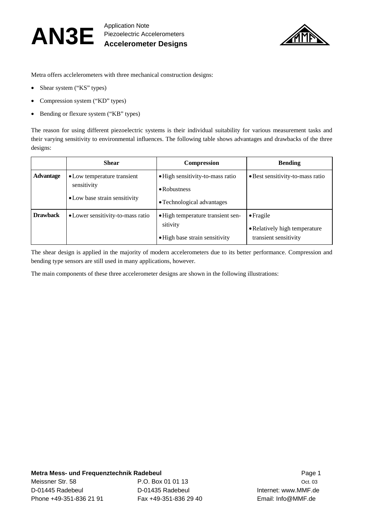

Metra offers acclelerometers with three mechanical construction designs:

- Shear system ("KS" types)
- Compression system ("KD" types)
- Bending or flexure system ("KB" types)

The reason for using different piezoelectric systems is their individual suitability for various measurement tasks and their varying sensitivity to environmental influences. The following table shows advantages and drawbacks of the three designs:

|                  | <b>Shear</b>                                                                | <b>Compression</b>                                                                     | <b>Bending</b>                                                              |
|------------------|-----------------------------------------------------------------------------|----------------------------------------------------------------------------------------|-----------------------------------------------------------------------------|
| <b>Advantage</b> | • Low temperature transient<br>sensitivity<br>• Low base strain sensitivity | • High sensitivity-to-mass ratio<br>$\bullet$ Robustness<br>• Technological advantages | · Best sensitivity-to-mass ratio                                            |
| <b>Drawback</b>  | • Lower sensitivity-to-mass ratio                                           | • High temperature transient sen-<br>sitivity<br>· High base strain sensitivity        | $\bullet$ Fragile<br>• Relatively high temperature<br>transient sensitivity |

The shear design is applied in the majority of modern accelerometers due to its better performance. Compression and bending type sensors are still used in many applications, however.

The main components of these three accelerometer designs are shown in the following illustrations: